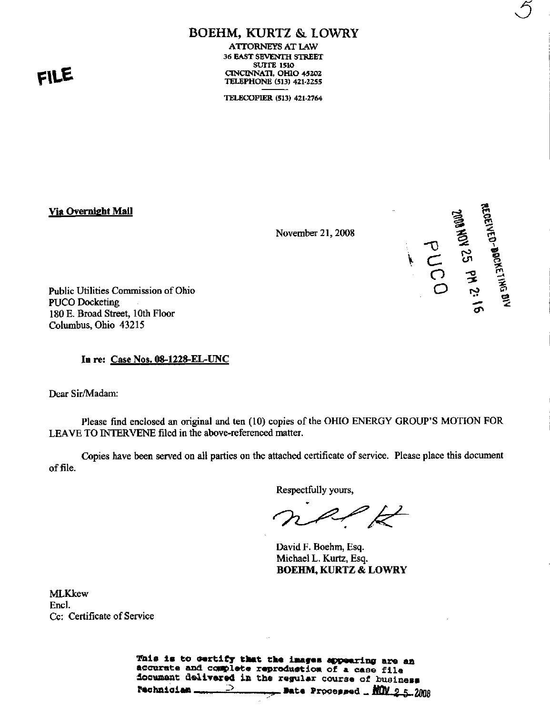# FILE

# **BOEHM, KURTZ & LOWRY**

**ATTORNEYS AT LAW** 36 EAST SEVENTH STREET **SUITE 1510** CINCINNATI, OHIO 45202 **TELEPHONE (513) 421-2255** 

TELECOPIER (513) 421-2764

Via Overnight Mail

November 21, 2008

**THEREASEMENTS AND ST PS ASS ASSESS** 

Public Utilities Commission of Ohio **PUCO Docketing** 180 E. Broad Street, 10th Floor Columbus, Ohio 43215

In re: Case Nos. 08-1228-EL-UNC

Dear Sir/Madam:

Please find enclosed an original and ten (10) copies of the OHIO ENERGY GROUP'S MOTION FOR LEAVE TO INTERVENE filed in the above-referenced matter.

Copies have been served on all parties on the attached certificate of service. Please place this document of file.

Respectfully yours,

 $\overleftrightarrow{z}$ 

David F. Boehm, Esq. Michael L. Kurtz, Esq. **BOEHM, KURTZ & LOWRY** 

**MLKkew** Encl. Cc: Certificate of Service

> This is to certify that the images appearing are an accurate and complete reproduction of a case file document delivered in the regular course of business Date Processed \_ NOV 2 5 2008  $\supset$ **Technician**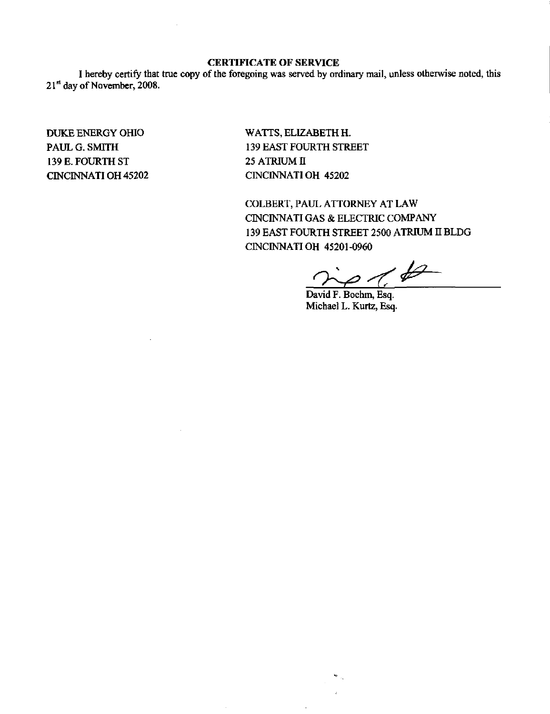### CERTIFICATE OF SERVICE

I hereby certify that true copy of the foregoing was served by ordinary mail, unless otherwise noted, this 21<sup>st</sup> day of November, 2008.

DUKE ENERGY OHIO PAUL G. SMITH 139 E. FOURTH ST CINCINNATI OH 45202 WATTS, ELIZABETH H. 139 EAST FOURTH STREET 25 ATRIUM II CINCINNATI OH 45202

 $\bar{z}$ 

COLBERT, PAUL ATTORNEY AT LAW CINCINNATI GAS & ELECTRIC COMPANY 139 EAST FOURTH STREET 2500 ATRIUM H BLDG CINCINNATI OH 45201-0960

 $\partial$ 

David F. Boehm, Esq. Michael L. Kurtz, Esq.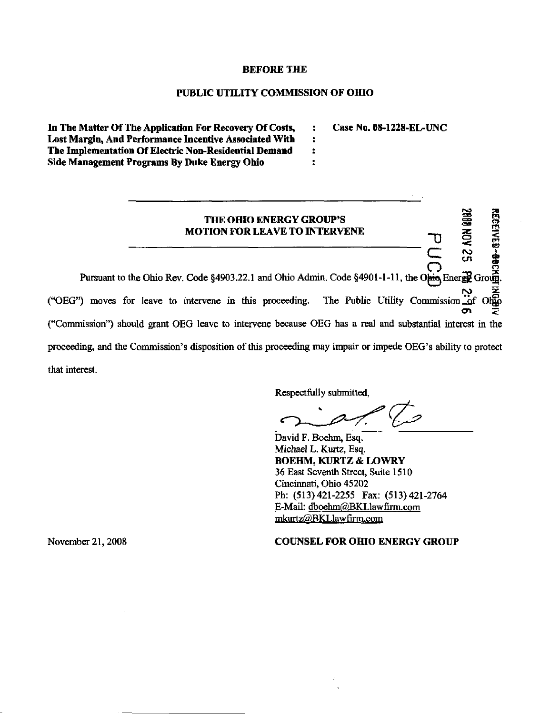#### BEFORE THE

#### PUBLIC UTILITY COMMISSION OF OHIO

 $\ddot{\bullet}$  $\ddot{\bullet}$  $\ddot{\phantom{a}}$ ÷

In The Matter Of The Application For Recovery Of Costs, Lost Margin, And Performance Incentive Associated With The Implementation Of Electric Non-Residential Demand Side Management Programs By Duke Energy Ohio

Case No. 08-1228-EL-UNC



Respectfully submitted.

Respectfully submitted.

David F. Boehm, Esq. Michael L. Kurtz, Esq. BOEHM, KURTZ & LOWRY 36 East Seventh Street, Suite 1510 Cincinnati, Ohio 45202 Ph: (513)421-2255 Fax: (513)421-2764 E-Mail: dboehm(glBKLlawfirm.com mkurtz@BKLlawfirm.com

November 21,2008 COUNSEL FOR OHIO ENERGY GROUP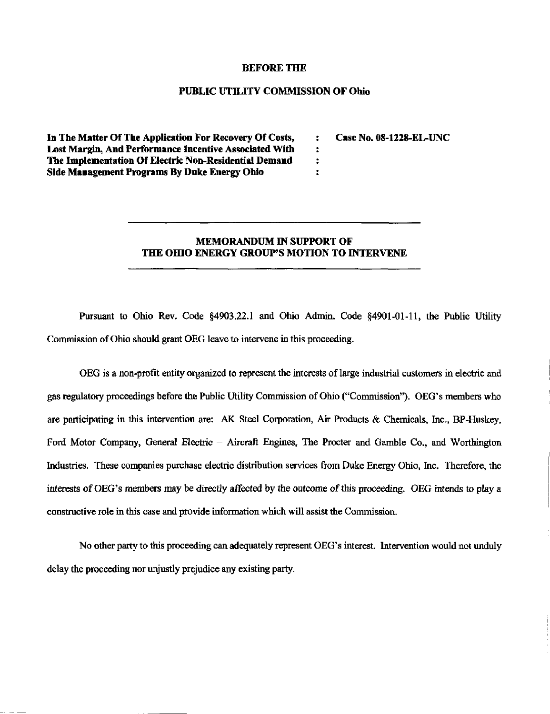#### BEFORE THE

#### PUBLIC UTILITY COMMISSION OF Ohio

 $\ddot{\phantom{a}}$  $\ddot{\phantom{a}}$  $\ddot{\cdot}$  $\ddot{\cdot}$ 

In The Matter Of The Application For Recovery Of Costs, Lost Margin, And Performance Incentive Associated With The Implementation Of Electric Non-Residential Demand Side Management Programs By Duke Energy Ohio

Case No. 08-1228-EL-UNC

## MEMORANDUM IN SUPPORT OF THE OHIO ENERGY GROUP'S MOTION TO INTERVENE

Pursuant to Ohio Rev. Code §4903.22.1 and Ohio Admin. Code §4901-01-11, the Public Utility Commission of Ohio should grant OEG leave to intervene in this proceeding.

OEG is a non-profit entity organized to represent the interests of large industrial customers in electric and gas regulatory proceedings before the Public Utility Commission of Ohio ("Commission"). OEG's members who are participating in this intervention are: AK Steel Corporation, Air Products & Chemicals, Inc., BP-Huskey, Ford Motor Company, General Electric - Aircraft Engines, The Procter and Gamble Co., and Worthington Industries. These companies purchase electric distribution services from Duke Energy Ohio, Inc. Therefore, the interests of OEG's members may be directly affected by the outcome of this proceeding. OEG intends to play a constructive role in this case and provide infonnation which will assist the Commission.

No other party to this proceeding can adequately represent OEG's interest. Intervention would not unduly delay the proceeding nor unjustly prejudice any existing party.